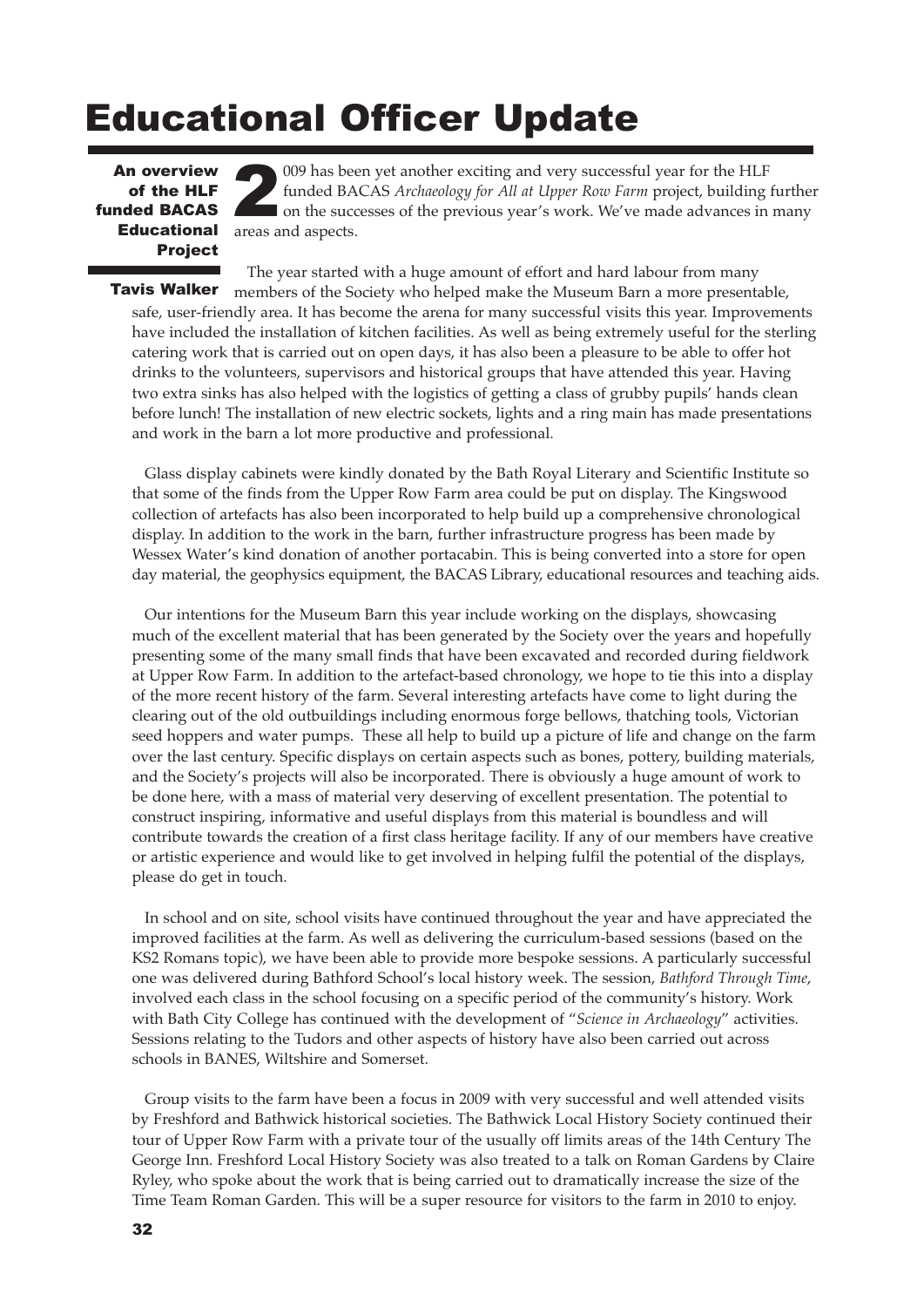## Educational Officer Update

An overview<br>
of the HLF<br>
funded BACAS of the HLF **Educational Project** 

009 has been yet another exciting and very successful year for the HLF funded BACAS *Archaeology for All at Upper Row Farm* project, building further on the successes of the previous year's work. We've made advances in many areas and aspects.

The year started with a huge amount of effort and hard labour from many

members of the Society who helped make the Museum Barn a more presentable, safe, user-friendly area. It has become the arena for many successful visits this year. Improvements have included the installation of kitchen facilities. As well as being extremely useful for the sterling catering work that is carried out on open days, it has also been a pleasure to be able to offer hot drinks to the volunteers, supervisors and historical groups that have attended this year. Having two extra sinks has also helped with the logistics of getting a class of grubby pupils' hands clean before lunch! The installation of new electric sockets, lights and a ring main has made presentations and work in the barn a lot more productive and professional. Tavis Walker

Glass display cabinets were kindly donated by the Bath Royal Literary and Scientific Institute so that some of the finds from the Upper Row Farm area could be put on display. The Kingswood collection of artefacts has also been incorporated to help build up a comprehensive chronological display. In addition to the work in the barn, further infrastructure progress has been made by Wessex Water's kind donation of another portacabin. This is being converted into a store for open day material, the geophysics equipment, the BACAS Library, educational resources and teaching aids.

Our intentions for the Museum Barn this year include working on the displays, showcasing much of the excellent material that has been generated by the Society over the years and hopefully presenting some of the many small finds that have been excavated and recorded during fieldwork at Upper Row Farm. In addition to the artefact-based chronology, we hope to tie this into a display of the more recent history of the farm. Several interesting artefacts have come to light during the clearing out of the old outbuildings including enormous forge bellows, thatching tools, Victorian seed hoppers and water pumps. These all help to build up a picture of life and change on the farm over the last century. Specific displays on certain aspects such as bones, pottery, building materials, and the Society's projects will also be incorporated. There is obviously a huge amount of work to be done here, with a mass of material very deserving of excellent presentation. The potential to construct inspiring, informative and useful displays from this material is boundless and will contribute towards the creation of a first class heritage facility. If any of our members have creative or artistic experience and would like to get involved in helping fulfil the potential of the displays, please do get in touch.

In school and on site, school visits have continued throughout the year and have appreciated the improved facilities at the farm. As well as delivering the curriculum-based sessions (based on the KS2 Romans topic), we have been able to provide more bespoke sessions. A particularly successful one was delivered during Bathford School's local history week. The session, *Bathford Through Time*, involved each class in the school focusing on a specific period of the community's history. Work with Bath City College has continued with the development of "*Science in Archaeology*" activities. Sessions relating to the Tudors and other aspects of history have also been carried out across schools in BANES, Wiltshire and Somerset.

Group visits to the farm have been a focus in 2009 with very successful and well attended visits by Freshford and Bathwick historical societies. The Bathwick Local History Society continued their tour of Upper Row Farm with a private tour of the usually off limits areas of the 14th Century The George Inn. Freshford Local History Society was also treated to a talk on Roman Gardens by Claire Ryley, who spoke about the work that is being carried out to dramatically increase the size of the Time Team Roman Garden. This will be a super resource for visitors to the farm in 2010 to enjoy.